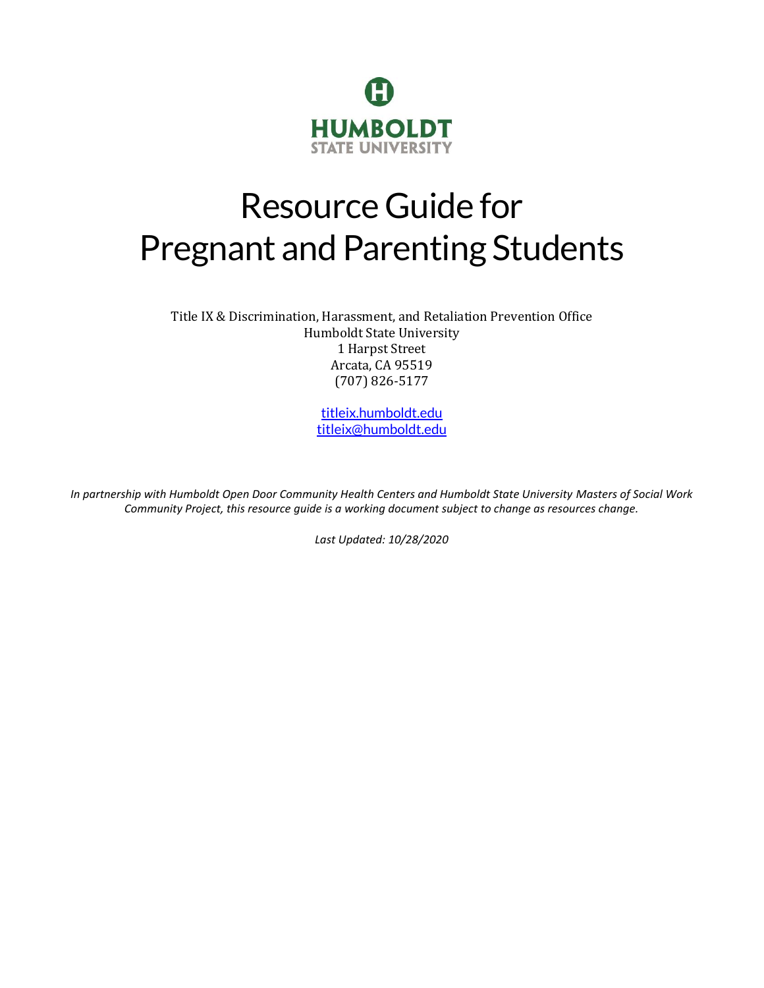

# Resource Guide for Pregnant and Parenting Students

Title IX & Discrimination, Harassment, and Retaliation Prevention Office Humboldt State University 1 Harpst Street Arcata, CA 95519 (707) 826-5177

> [titleix.humboldt.edu](https://titleix.humboldt.edu/) [titleix@humboldt.edu](mailto:titleix@humboldt.edu)

*In partnership with Humboldt Open Door Community Health Centers and Humboldt State University Masters of Social Work Community Project, this resource guide is a working document subject to change as resources change.*

*Last Updated: 10/28/2020*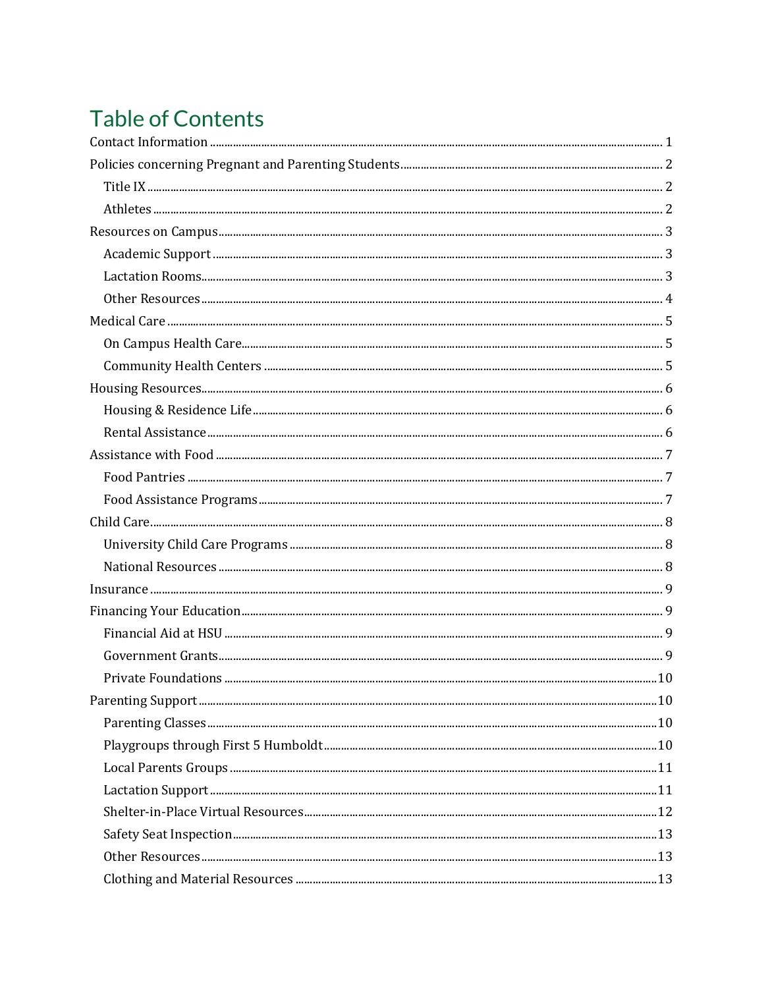## **Table of Contents**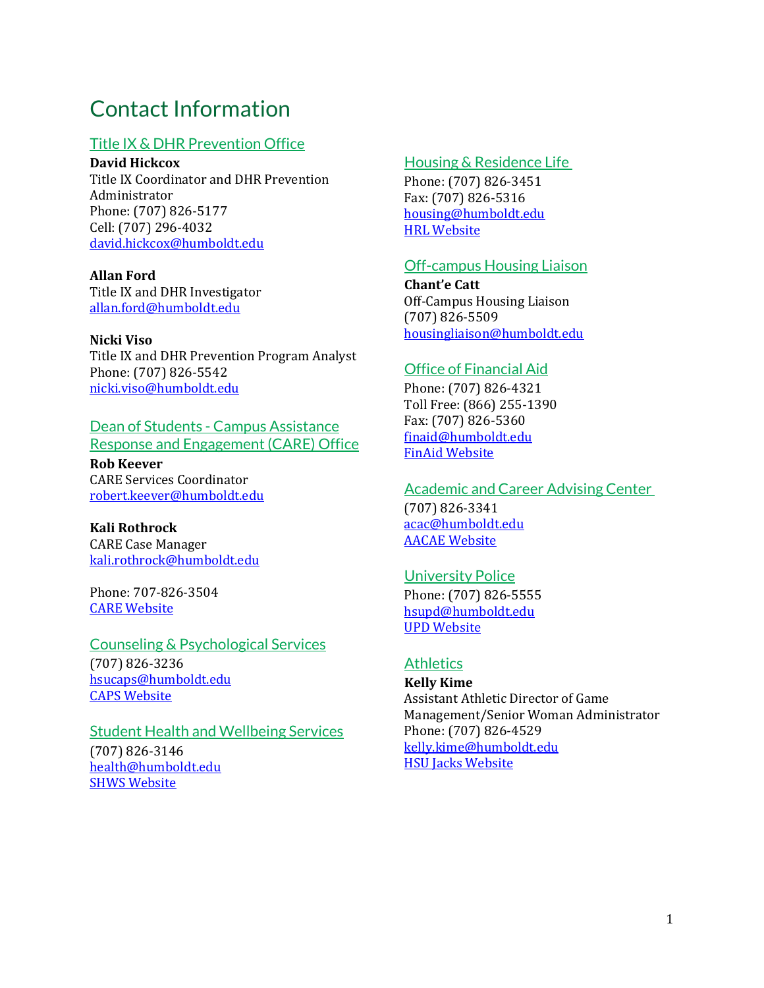## <span id="page-2-0"></span>Contact Information

#### Title IX & DHR Prevention Office

**David Hickcox** Title IX Coordinator and DHR Prevention Administrator Phone: (707) 826-5177 Cell: (707) 296-4032 [david.hickcox@humboldt.edu](mailto:david.hickcox@humboldt.edu)

**Allan Ford** Title IX and DHR Investigator [allan.ford@humboldt.edu](mailto:allan.ford@humboldt.edu) 

#### **Nicki Viso**

Title IX and DHR Prevention Program Analyst Phone: (707) 826-5542 [nicki.viso@humboldt.edu](mailto:nicki.viso@humboldt.edu)

### Dean of Students - Campus Assistance

Response and Engagement (CARE) Office

**Rob Keever** CARE Services Coordinator [robert.keever@humboldt.edu](mailto:robert.keever@humboldt.edu)

**Kali Rothrock** CARE Case Manager [kali.rothrock@humboldt.edu](mailto:kali.rothrock@humboldt.edu)

Phone: 707-826-3504 [CARE Website](https://deanofstudents.humboldt.edu/CARE)

Counseling & Psychological Services (707) 826-3236 [hsucaps@humboldt.edu](mailto:hsucaps@humboldt.edu) [CAPS Website](https://counseling.humboldt.edu/)

**Student Health and Wellbeing Services** (707) 826-3146 [health@humboldt.edu](mailto:health@humboldt.edu) [SHWS Website](https://wellbeing.humboldt.edu/)

#### Housing & Residence Life

Phone: (707) 826-3451 Fax: (707) 826-5316 [housing@humboldt.edu](mailto:housing@humboldt.edu) **[HRL Website](housing.humboldt.edu)** 

#### Off-campus Housing Liaison

**Chant'e Catt** Off-Campus Housing Liaison (707) 826-5509 [housingliaison@humboldt.edu](mailto:housingliaison@humboldt.edu)

#### Office of Financial Aid

Phone: (707) 826-4321 Toll Free: (866) 255-1390 Fax: (707) 826-5360 [finaid@humboldt.edu](mailto:finaid@humboldt.edu) [FinAid Website](https://finaid.humboldt.edu/)

#### Academic and Career Advising Center

(707) 826-3341 [acac@humboldt.edu](mailto:acac@humboldt.edu) [AACAE Website](https://acac.humboldt.edu/)

## University Police

Phone: (707) 826-5555 [hsupd@humboldt.edu](mailto:hsupd@humboldt.edu) [UPD Website](https://police.humboldt.edu/)

#### **Athletics**

**Kelly Kime** Assistant Athletic Director of Game Management/Senior Woman Administrator Phone: (707) 826-4529 [kelly.kime@humboldt.edu](mailto:kelly.kime@humboldt.edu) [HSU Jacks Website](https://hsujacks.com/)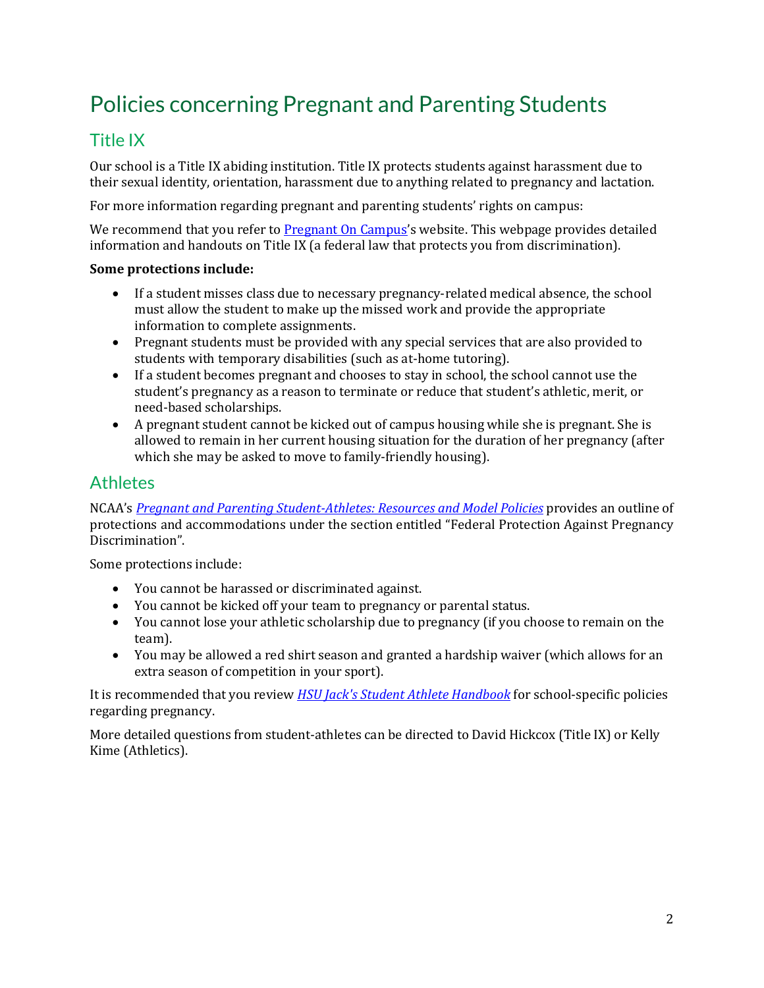## <span id="page-3-0"></span>Policies concerning Pregnant and Parenting Students

## <span id="page-3-1"></span>Title IX

Our school is a Title IX abiding institution. Title IX protects students against harassment due to their sexual identity, orientation, harassment due to anything related to pregnancy and lactation.

For more information regarding pregnant and parenting students' rights on campus:

We recommend that you refer to [Pregnant On Campus](http://www.pregnantoncampus.org/Students-Rights)'s website. This webpage provides detailed information and handouts on Title IX (a federal law that protects you from discrimination).

#### **Some protections include:**

- If a student misses class due to necessary pregnancy-related medical absence, the school must allow the student to make up the missed work and provide the appropriate information to complete assignments.
- Pregnant students must be provided with any special services that are also provided to students with temporary disabilities (such as at-home tutoring).
- If a student becomes pregnant and chooses to stay in school, the school cannot use the student's pregnancy as a reason to terminate or reduce that student's athletic, merit, or need-based scholarships.
- A pregnant student cannot be kicked out of campus housing while she is pregnant. She is allowed to remain in her current housing situation for the duration of her pregnancy (after which she may be asked to move to family-friendly housing).

## <span id="page-3-2"></span>**Athletes**

NCAA's *[Pregnant and Parenting Student-Athletes: Resources and Model Policies](http://www.ncaa.org/sites/default/files/PregnancyToolkit.pdf)* provides an outline of protections and accommodations under the section entitled "Federal Protection Against Pregnancy Discrimination".

Some protections include:

- You cannot be harassed or discriminated against.
- You cannot be kicked off your team to pregnancy or parental status.
- You cannot lose your athletic scholarship due to pregnancy (if you choose to remain on the team).
- You may be allowed a red shirt season and granted a hardship waiver (which allows for an extra season of competition in your sport).

It is recommended that you review *[HSU Jack's Student Athlete Handbook](https://hsujacks.com/documents/2019/1/15/Student_Handbook_January_2019.pdf)* for school-specific policies regarding pregnancy.

More detailed questions from student-athletes can be directed to David Hickcox (Title IX) or Kelly Kime (Athletics).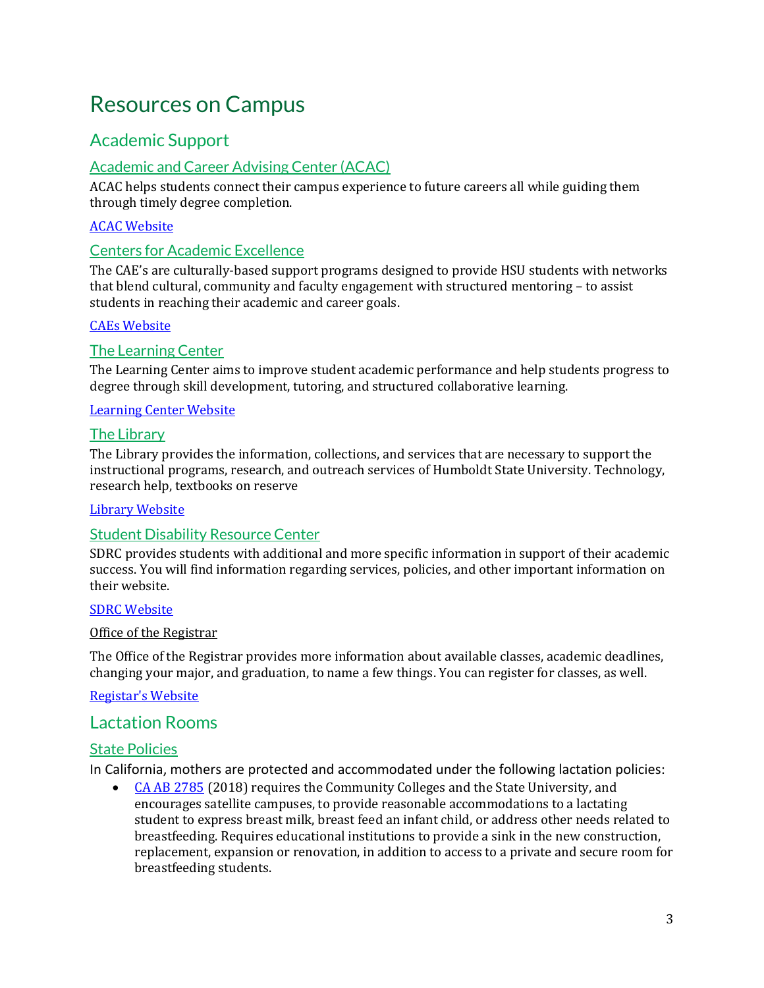## <span id="page-4-0"></span>Resources on Campus

## <span id="page-4-1"></span>Academic Support

### Academic and Career Advising Center (ACAC)

ACAC helps students connect their campus experience to future careers all while guiding them through timely degree completion.

#### [ACAC Website](https://acac.humboldt.edu/)

#### Centers for Academic Excellence

The CAE's are culturally-based support programs designed to provide HSU students with networks that blend cultural, community and faculty engagement with structured mentoring – to assist students in reaching their academic and career goals.

#### [CAEs Website](https://ccae.humboldt.edu/)

#### The Learning Center

The Learning Center aims to improve student academic performance and help students progress to degree through skill development, tutoring, and structured collaborative learning.

#### [Learning Center Website](https://learning.humboldt.edu/)

#### The Library

The Library provides the information, collections, and services that are necessary to support the instructional programs, research, and outreach services of Humboldt State University. Technology, research help, textbooks on reserve

#### [Library Website](https://library.humboldt.edu/)

#### Student Disability Resource Center

SDRC provides students with additional and more specific information in support of their academic success. You will find information regarding services, policies, and other important information on their website.

#### [SDRC Website](https://disability.humboldt.edu/)

#### Office of the Registrar

The Office of the Registrar provides more information about available classes, academic deadlines, changing your major, and graduation, to name a few things. You can register for classes, as well.

#### [Registar's Website](https://registrar.humboldt.edu/)

### <span id="page-4-2"></span>Lactation Rooms

#### State Policies

In California, mothers are protected and accommodated under the following lactation policies:

• [CA AB 2785](http://custom.statenet.com/public/resources.cgi?id=ID:bill:CA2017000A2785&ciq=ncsl&client_md=46da8c91a037de08027efcd09e11ae76&mode=current_text) (2018) requires the Community Colleges and the State University, and encourages satellite campuses, to provide reasonable accommodations to a lactating student to express breast milk, breast feed an infant child, or address other needs related to breastfeeding. Requires educational institutions to provide a sink in the new construction, replacement, expansion or renovation, in addition to access to a private and secure room for breastfeeding students.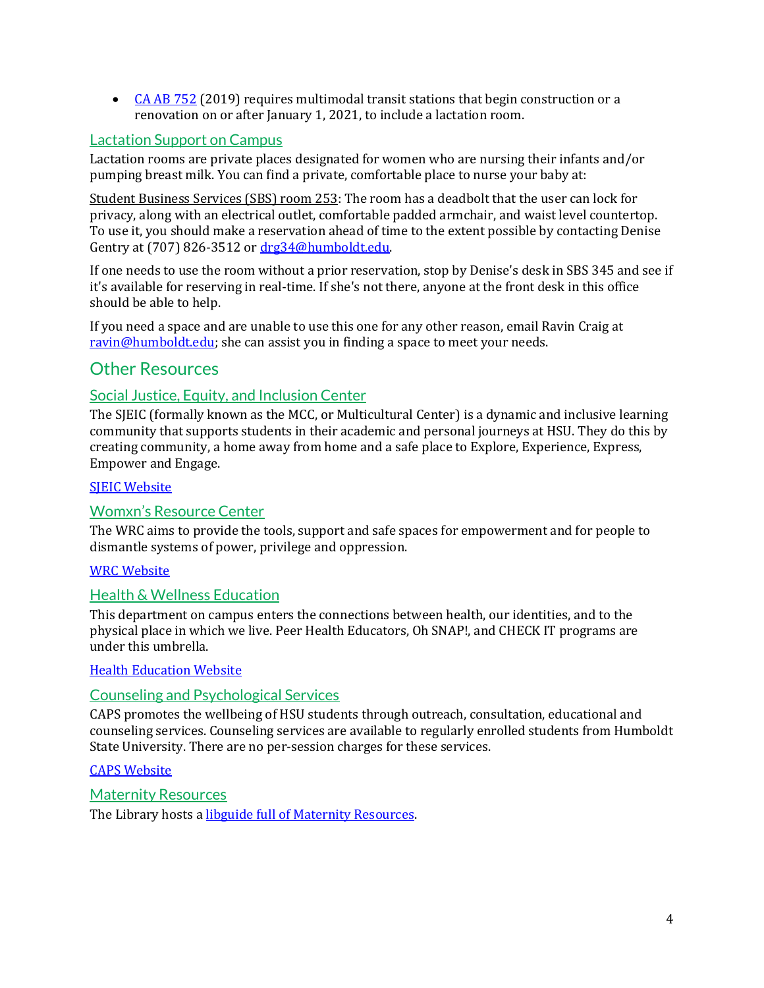• [CA AB 752](http://custom.statenet.com/public/resources.cgi?id=ID:bill:CA2019000A752&ciq=ncsl&client_md=6a1c616136641568116e64bb21d9b181&mode=current_text) (2019) requires multimodal transit stations that begin construction or a renovation on or after January 1, 2021, to include a lactation room.

#### Lactation Support on Campus

Lactation rooms are private places designated for women who are nursing their infants and/or pumping breast milk. You can find a private, comfortable place to nurse your baby at:

Student Business Services (SBS) room 253: The room has a deadbolt that the user can lock for privacy, along with an electrical outlet, comfortable padded armchair, and waist level countertop. To use it, you should make a reservation ahead of time to the extent possible by contacting Denise Gentry at (707) 826-3512 o[r drg34@humboldt.edu.](mailto:drg34@humboldt.edu) 

If one needs to use the room without a prior reservation, stop by Denise's desk in SBS 345 and see if it's available for reserving in real-time. If she's not there, anyone at the front desk in this office should be able to help.

If you need a space and are unable to use this one for any other reason, email Ravin Craig at [ravin@humboldt.edu;](mailto:ravin@humboldt.edu) she can assist you in finding a space to meet your needs.

### <span id="page-5-0"></span>Other Resources

#### Social Justice, Equity, and Inclusion Center

The SJEIC (formally known as the MCC, or Multicultural Center) is a dynamic and inclusive learning community that supports students in their academic and personal journeys at HSU. They do this by creating community, a home away from home and a safe place to Explore, Experience, Express, Empower and Engage.

#### **SIEIC Website**

#### Womxn's Resource Center

The WRC aims to provide the tools, support and safe spaces for empowerment and for people to dismantle systems of power, privilege and oppression.

#### [WRC Website](https://hsuwomen.humboldt.edu/)

#### Health & Wellness Education

This department on campus enters the connections between health, our identities, and to the physical place in which we live. Peer Health Educators, Oh SNAP!, and CHECK IT programs are under this umbrella.

#### [Health Education Website](https://healtheducation.humboldt.edu/)

#### Counseling and Psychological Services

CAPS promotes the wellbeing of HSU students through outreach, consultation, educational and counseling services. Counseling services are available to regularly enrolled students from Humboldt State University. There are no per-session charges for these services.

#### [CAPS Website](https://counseling.humboldt.edu/)

Maternity Resources

The Library hosts a **libguide full of Maternity Resources**.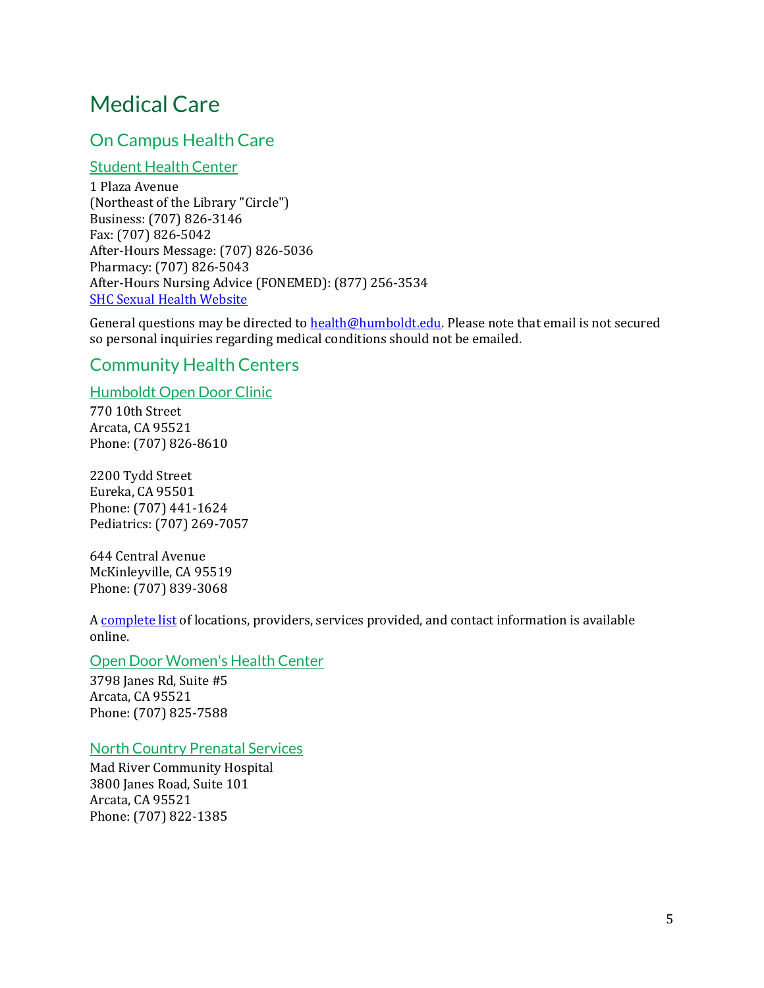## <span id="page-6-0"></span>Medical Care

## <span id="page-6-1"></span>On Campus Health Care

#### Student Health Center

1 Plaza Avenue (Northeast of the Library "Circle") Business: (707) 826-3146 Fax: (707) 826-5042 After-Hours Message: (707) 826-5036 Pharmacy: (707) 826-5043 After-Hours Nursing Advice (FONEMED): (877) 256-3534 **[SHC Sexual Health Website](https://wellbeing.humboldt.edu/sexual-health)** 

General questions may be directed to **health@humboldt.edu**. Please note that email is not secured so personal inquiries regarding medical conditions should not be emailed.

## <span id="page-6-2"></span>Community Health Centers

Humboldt Open Door Clinic

770 10th Street Arcata, CA 95521 Phone: (707) 826-8610

2200 Tydd Street Eureka, CA 95501 Phone: (707) 441-1624 Pediatrics: (707) 269-7057

644 Central Avenue McKinleyville, CA 95519 Phone: (707) 839-3068

A [complete list](https://opendoorhealth.com/locations/) of locations, providers, services provided, and contact information is available online.

#### Open Door Women's Health Center

3798 Janes Rd, Suite #5 Arcata, CA 95521 Phone: (707) 825-7588

#### North Country Prenatal Services

Mad River Community Hospital 3800 Janes Road, Suite 101 Arcata, CA 95521 Phone: (707) 822-1385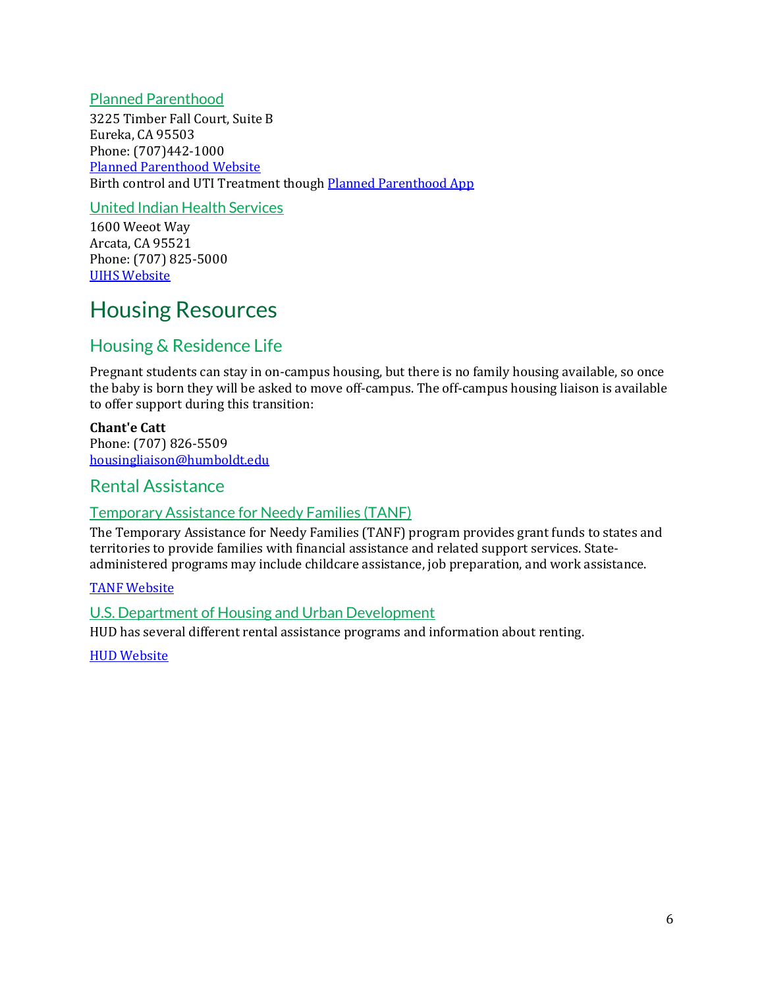#### Planned Parenthood

3225 Timber Fall Court, Suite B Eureka, CA 95503 Phone: (707)442-1000 [Planned Parenthood Website](https://www.plannedparenthood.org/health-center/california/eureka/95503/eureka-health-center-2301-90200) Birth control and UTI Treatment thoug[h Planned Parenthood App](https://www.plannedparenthooddirect.org/)

#### United Indian Health Services

1600 Weeot Way Arcata, CA 95521 Phone: (707) 825-5000 [UIHS Website](http://unitedindianhealthservices.org/)

## <span id="page-7-0"></span>Housing Resources

## <span id="page-7-1"></span>Housing & Residence Life

Pregnant students can stay in on-campus housing, but there is no family housing available, so once the baby is born they will be asked to move off-campus. The off-campus housing liaison is available to offer support during this transition:

#### **Chant'e Catt**

Phone: (707) 826-5509 [housingliaison@humboldt.edu](mailto:housingliaison@humboldt.edu)

### <span id="page-7-2"></span>Rental Assistance

#### Temporary Assistance for Needy Families (TANF)

The Temporary Assistance for Needy Families (TANF) program provides grant funds to states and territories to provide families with financial assistance and related support services. Stateadministered programs may include childcare assistance, job preparation, and work assistance.

#### [TANF Website](The%20Temporary%20Assistance%20for%20Needy%20Families%20(TANF)%20program%20provides%20grant%20funds%20to%20states%20and)

#### U.S. Department of Housing and Urban Development

HUD has several different rental assistance programs and information about renting.

**[HUD Website](https://www.hud.gov/topics/rental_assistance)**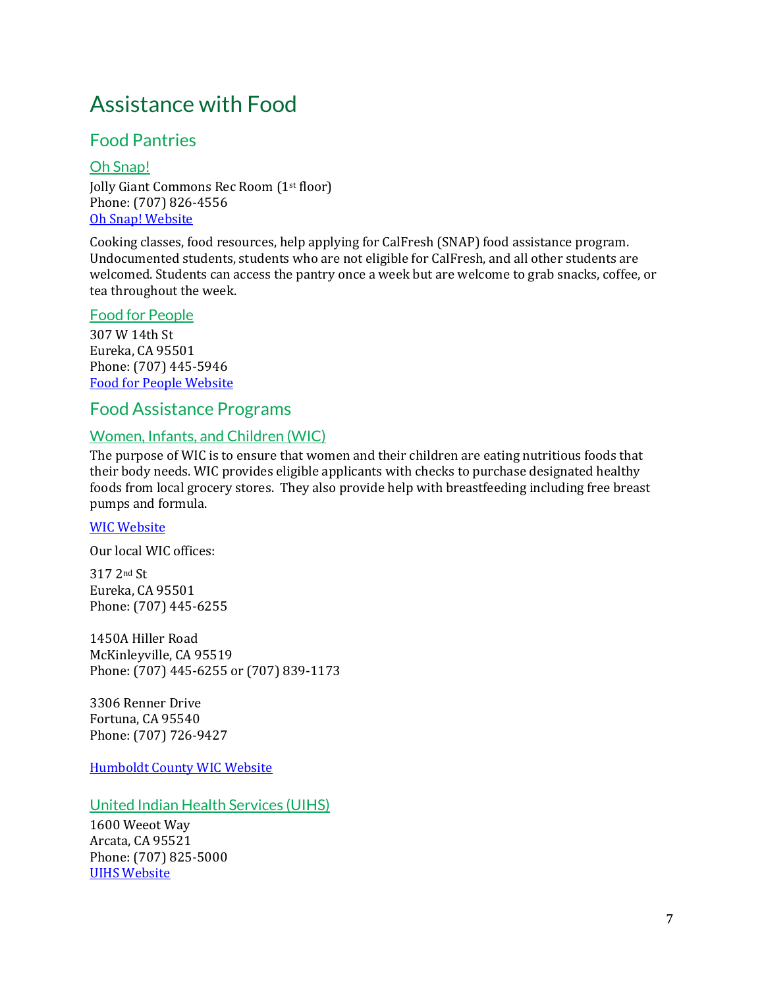## <span id="page-8-0"></span>Assistance with Food

## <span id="page-8-1"></span>Food Pantries

Oh Snap! Jolly Giant Commons Rec Room (1st floor) Phone: (707) 826-4556 [Oh Snap! Website](http://hsuohsnap.org/)

Cooking classes, food resources, help applying for CalFresh (SNAP) food assistance program. Undocumented students, students who are not eligible for CalFresh, and all other students are welcomed. Students can access the pantry once a week but are welcome to grab snacks, coffee, or tea throughout the week.

#### Food for People

307 W 14th St Eureka, CA 95501 Phone: (707) 445-5946 [Food for People Website](https://www.foodforpeople.org/)

#### <span id="page-8-2"></span>Food Assistance Programs

#### Women, Infants, and Children (WIC)

The purpose of WIC is to ensure that women and their children are eating nutritious foods that their body needs. WIC provides eligible applicants with checks to purchase designated healthy foods from local grocery stores. They also provide help with breastfeeding including free breast pumps and formula.

#### [WIC Website](http://www.fns.usda.gov/wic/women-infants-and-children-wic)

Our local WIC offices:

317 2nd St Eureka, CA 95501 Phone: (707) 445-6255

1450A Hiller Road McKinleyville, CA 95519 Phone: (707) 445-6255 or (707) 839-1173

3306 Renner Drive Fortuna, CA 95540 Phone: (707) 726-9427

[Humboldt County WIC Website](https://humboldtgov.org/657/Women-Infants-Children-WIC)

United Indian Health Services (UIHS)

1600 Weeot Way Arcata, CA 95521 Phone: (707) 825-5000 [UIHS Website](http://unitedindianhealthservices.org/)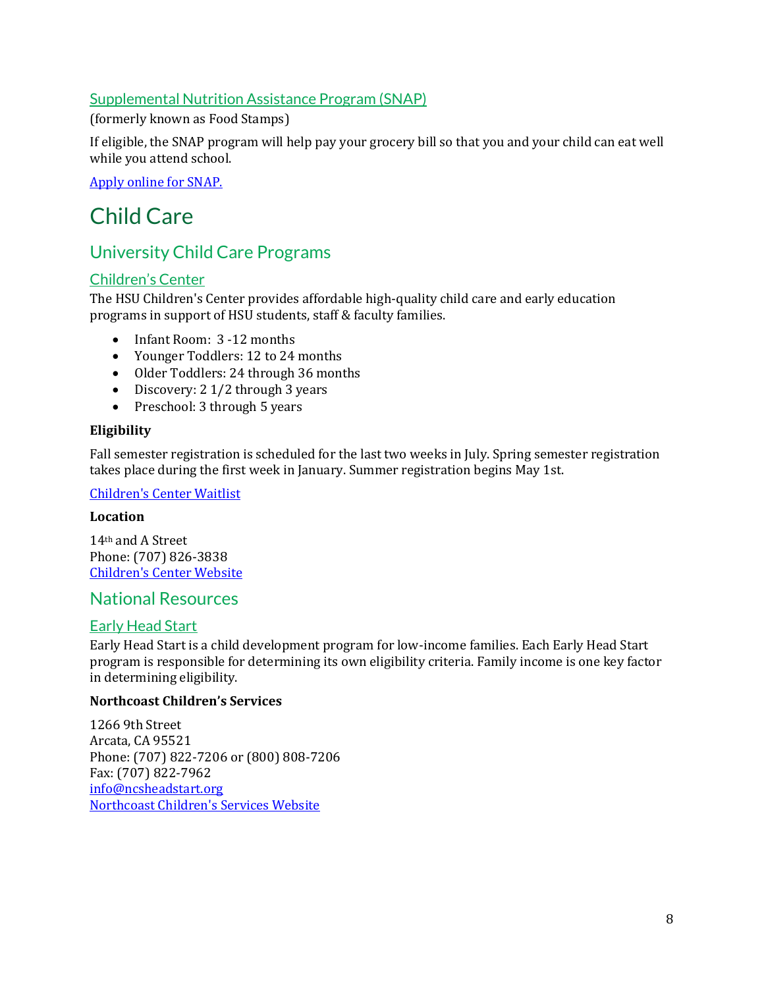#### Supplemental Nutrition Assistance Program (SNAP)

(formerly known as Food Stamps)

If eligible, the SNAP program will help pay your grocery bill so that you and your child can eat well while you attend school.

[Apply online](https://www.c4yourself.com/c4yourself/index.jsp) for SNAP.

## <span id="page-9-0"></span>Child Care

## <span id="page-9-1"></span>University Child Care Programs

#### Children's Center

The HSU Children's Center provides affordable high-quality child care and early education programs in support of HSU students, staff & faculty families.

- Infant Room: 3 -12 months
- Younger Toddlers: 12 to 24 months
- Older Toddlers: 24 through 36 months
- Discovery: 2 1/2 through 3 years
- Preschool: 3 through 5 years

#### **Eligibility**

Fall semester registration is scheduled for the last two weeks in July. Spring semester registration takes place during the first week in January. Summer registration begins May 1st.

#### [Children's Center Waitlist](https://childrencenter.humboldt.edu/registered)

#### **Location**

14th and A Street Phone: (707) 826-3838 [Children's Center Website](https://childrencenter.humboldt.edu/)

#### <span id="page-9-2"></span>National Resources

#### Early Head Start

Early Head Start is a child development program for low-income families. Each Early Head Start program is responsible for determining its own eligibility criteria. Family income is one key factor in determining eligibility.

#### **Northcoast Children's Services**

1266 9th Street Arcata, CA 95521 Phone: (707) 822-7206 or (800) 808-7206 Fax: (707) 822-7962 [info@ncsheadstart.org](mailto:info@ncsheadstart.org) [Northcoast Children's Services Website](http://ncsheadstart.org/for-parents/head-start-early-head-start/)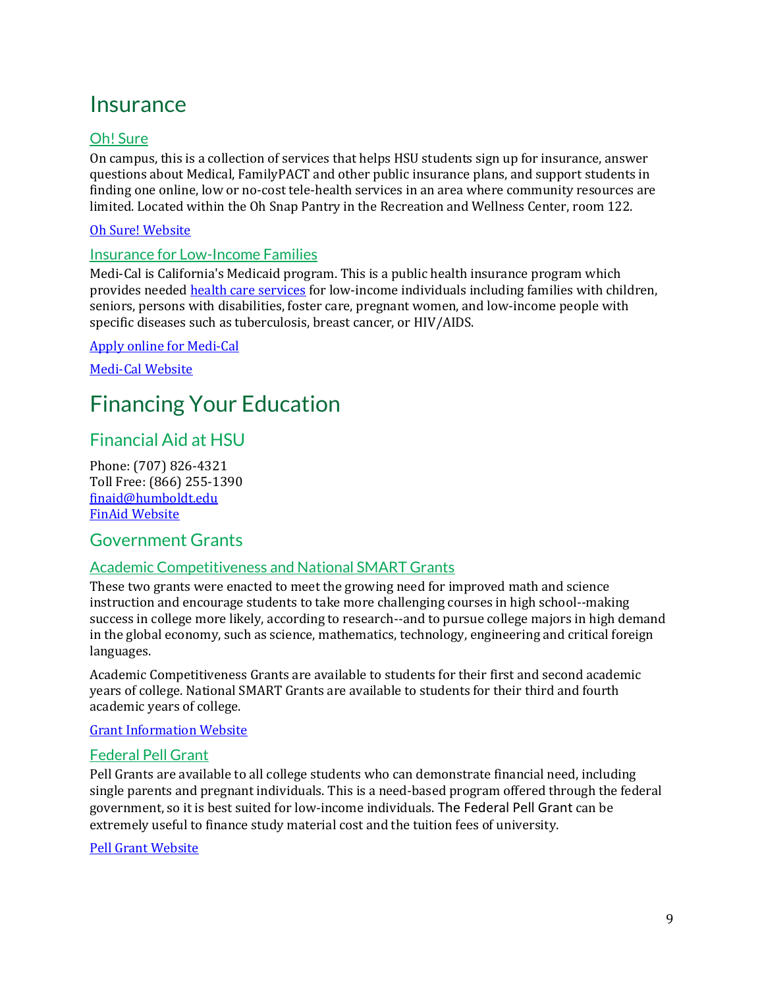## <span id="page-10-0"></span>**Insurance**

### Oh! Sure

On campus, this is a collection of services that helps HSU students sign up for insurance, answer questions about Medical, FamilyPACT and other public insurance plans, and support students in finding one online, low or no-cost tele-health services in an area where community resources are limited. Located within the Oh Snap Pantry in the Recreation and Wellness Center, room 122.

#### [Oh Sure! Website](http://hsuohsnap.org/oh-sure/)

#### Insurance for Low-Income Families

Medi-Cal is California's Medicaid program. This is a public health insurance program which provides neede[d health care services](https://www.dhcs.ca.gov/services/medi-cal/Pages/Medi-Cal_EHB_Benefits.aspx) for low-income individuals including families with children, seniors, persons with disabilities, foster care, pregnant women, and low-income people with specific diseases such as tuberculosis, breast cancer, or HIV/AIDS.

#### [Apply online for Medi-Cal](https://www.dhcs.ca.gov/services/medi-cal/Pages/ApplyforMedi-Cal.aspx)

[Medi-Cal Website](https://www.dhcs.ca.gov/services/medi-cal/Pages/default.aspx)

## <span id="page-10-1"></span>Financing Your Education

## <span id="page-10-2"></span>Financial Aid at HSU

Phone: (707) 826-4321 Toll Free: (866) 255-1390 [finaid@humboldt.edu](mailto:finaid@humboldt.edu) [FinAid Website](https://finaid.humboldt.edu/)

### <span id="page-10-3"></span>Government Grants

#### Academic Competitiveness and National SMART Grants

These two grants were enacted to meet the growing need for improved math and science instruction and encourage students to take more challenging courses in high school--making success in college more likely, according to research--and to pursue college majors in high demand in the global economy, such as science, mathematics, technology, engineering and critical foreign languages.

Academic Competitiveness Grants are available to students for their first and second academic years of college. National SMART Grants are available to students for their third and fourth academic years of college.

#### [Grant Information Website](https://www2.ed.gov/about/offices/list/ope/ac-smart.html)

#### Federal Pell Grant

Pell Grants are available to all college students who can demonstrate financial need, including single parents and pregnant individuals. This is a need-based program offered through the federal government, so it is best suited for low-income individuals. The Federal Pell Grant can be extremely useful to finance study material cost and the tuition fees of university.

#### [Pell Grant Website](http://www.fafsa.ed.gov/)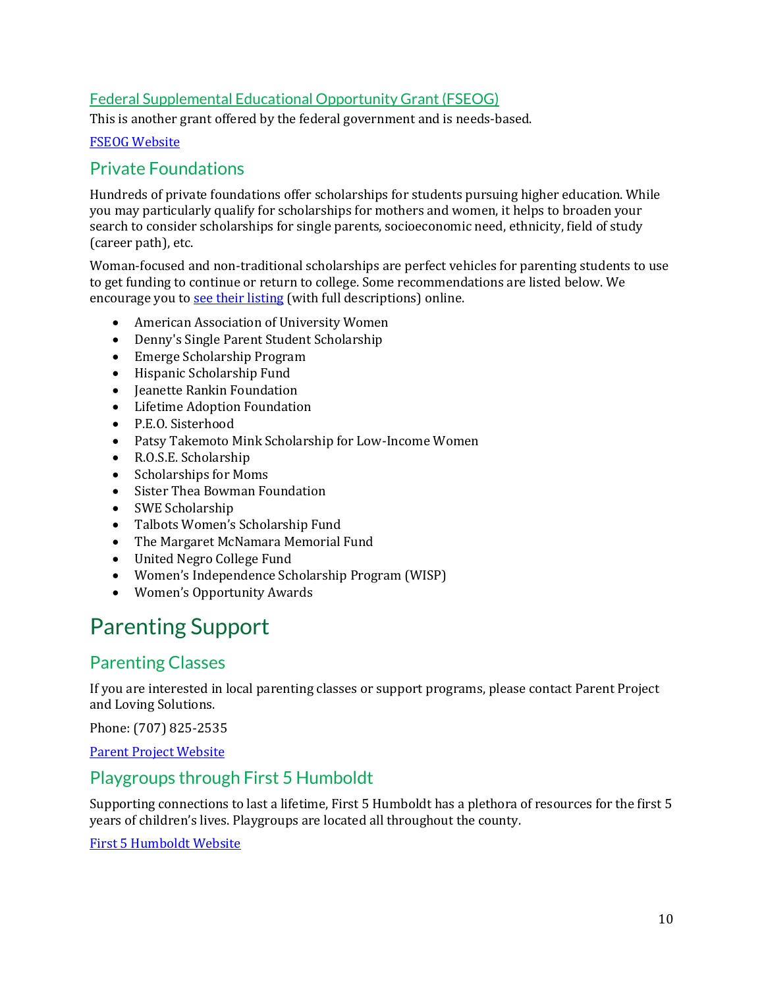### Federal Supplemental Educational Opportunity Grant (FSEOG)

This is another grant offered by the federal government and is needs-based.

#### [FSEOG Website](https://studentaid.gov/understand-aid/types/grants/fseog)

## <span id="page-11-0"></span>Private Foundations

Hundreds of private foundations offer scholarships for students pursuing higher education. While you may particularly qualify for scholarships for mothers and women, it helps to broaden your search to consider scholarships for single parents, socioeconomic need, ethnicity, field of study (career path), etc.

Woman-focused and non-traditional scholarships are perfect vehicles for parenting students to use to get funding to continue or return to college. Some recommendations are listed below. We encourage you to [see their listing](http://www.pregnantoncampus.org/Scholarships) (with full descriptions) online.

- American Association of University Women
- Denny's Single Parent Student Scholarship
- Emerge Scholarship Program
- Hispanic Scholarship Fund
- Jeanette Rankin Foundation
- Lifetime Adoption Foundation
- P.E.O. Sisterhood
- Patsy Takemoto Mink Scholarship for Low-Income Women
- R.O.S.E. Scholarship
- Scholarships for Moms
- Sister Thea Bowman Foundation
- SWE Scholarship
- Talbots Women's Scholarship Fund
- [The Margaret McNamara Memorial Fund](http://www.mmmf-grants.org/)
- United Negro College Fund
- Women's Independence Scholarship Program (WISP)
- Women's Opportunity Awards

## <span id="page-11-1"></span>Parenting Support

## <span id="page-11-2"></span>Parenting Classes

If you are interested in local parenting classes or support programs, please contact Parent Project and Loving Solutions.

Phone: (707) 825-2535

[Parent Project Website](https://parentproject.com/parent-classes/)

## <span id="page-11-3"></span>Playgroups through First 5 Humboldt

Supporting connections to last a lifetime, First 5 Humboldt has a plethora of resources for the first 5 years of children's lives. Playgroups are located all throughout the county.

[First 5 Humboldt Website](https://first5humboldtdotorg.wordpress.com/)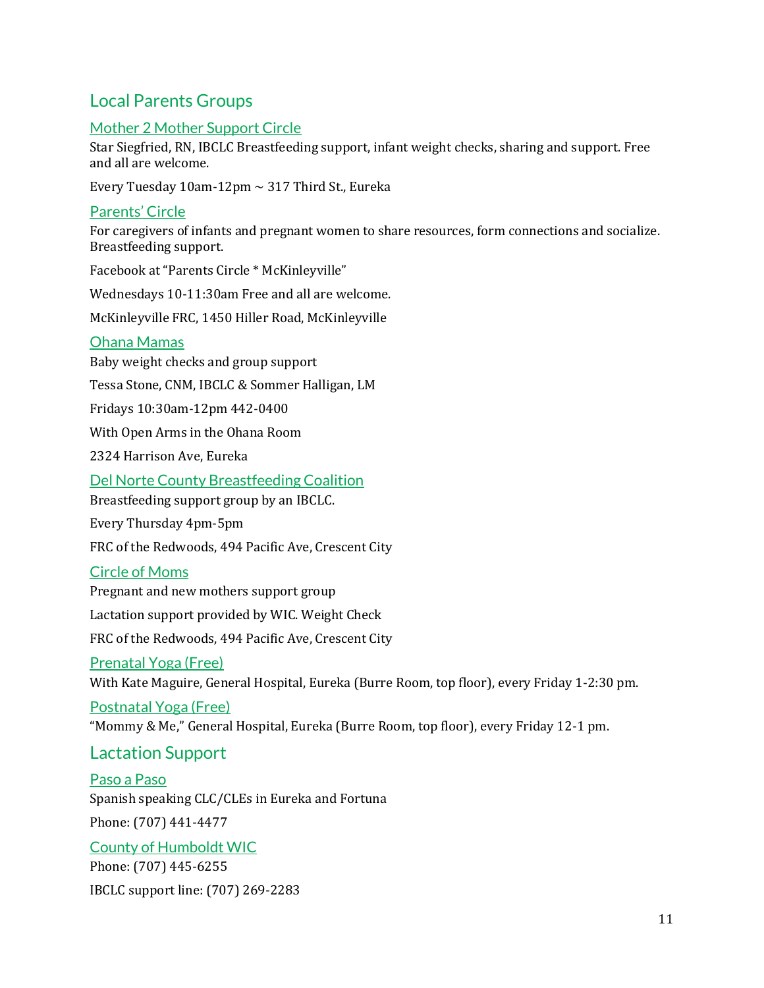## <span id="page-12-0"></span>Local Parents Groups

### Mother 2 Mother Support Circle

Star Siegfried, RN, IBCLC Breastfeeding support, infant weight checks, sharing and support. Free and all are welcome.

Every Tuesday  $10$ am- $12$ pm  $\sim$  317 Third St., Eureka

#### Parents' Circle

For caregivers of infants and pregnant women to share resources, form connections and socialize. Breastfeeding support.

Facebook at "Parents Circle \* McKinleyville"

Wednesdays 10-11:30am Free and all are welcome.

McKinleyville FRC, 1450 Hiller Road, McKinleyville

#### Ohana Mamas

Baby weight checks and group support Tessa Stone, CNM, IBCLC & Sommer Halligan, LM Fridays 10:30am-12pm 442-0400

With Open Arms in the Ohana Room

2324 Harrison Ave, Eureka

Del Norte County Breastfeeding Coalition

Breastfeeding support group by an IBCLC.

Every Thursday 4pm-5pm

FRC of the Redwoods, 494 Pacific Ave, Crescent City

#### Circle of Moms

Pregnant and new mothers support group

Lactation support provided by WIC. Weight Check

FRC of the Redwoods, 494 Pacific Ave, Crescent City

#### Prenatal Yoga (Free)

With Kate Maguire, General Hospital, Eureka (Burre Room, top floor), every Friday 1-2:30 pm.

#### Postnatal Yoga (Free)

"Mommy & Me," General Hospital, Eureka (Burre Room, top floor), every Friday 12-1 pm.

## <span id="page-12-1"></span>Lactation Support

### Paso a Paso

Spanish speaking CLC/CLEs in Eureka and Fortuna

Phone: (707) 441-4477

#### County of Humboldt WIC

Phone: (707) 445-6255 IBCLC support line: (707) 269-2283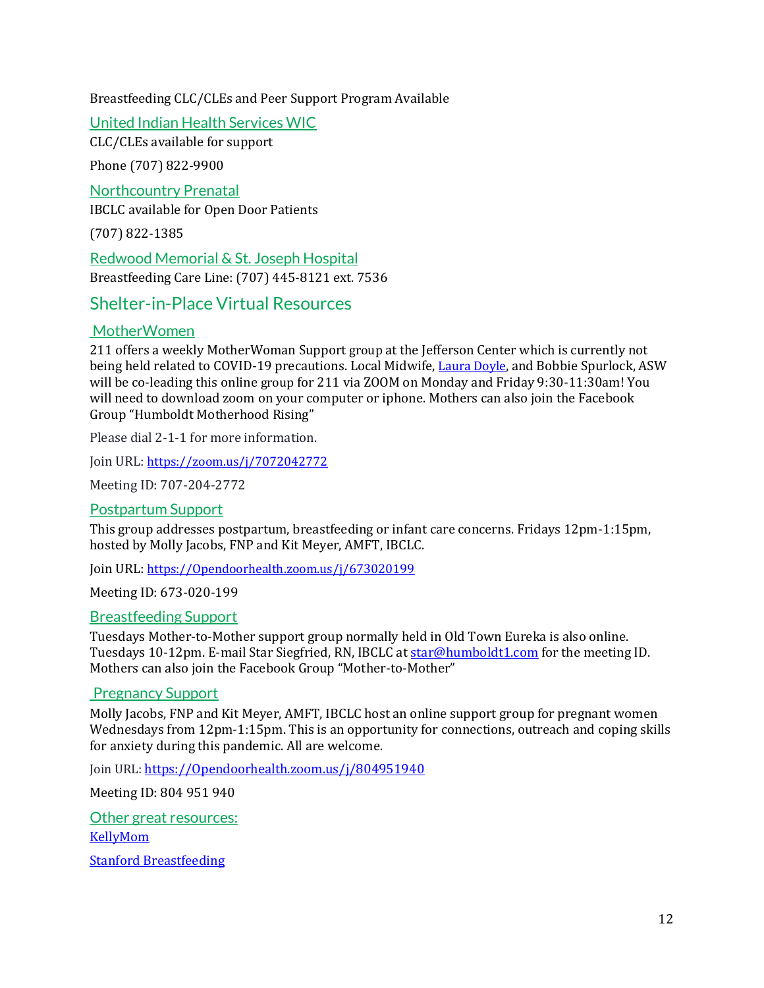#### Breastfeeding CLC/CLEs and Peer Support Program Available

#### United Indian Health Services WIC

CLC/CLEs available for support

Phone (707) 822-9900

Northcountry Prenatal

IBCLC available for Open Door Patients

(707) 822-1385

Redwood Memorial & St. Joseph Hospital Breastfeeding Care Line: (707) 445-8121 ext. 7536

## <span id="page-13-0"></span>Shelter-in-Place Virtual Resources

#### MotherWomen

211 offers a weekly MotherWoman Support group at the Jefferson Center which is currently not being held related to COVID-19 precautions. Local Midwife, [Laura](https://gcc01.safelinks.protection.outlook.com/?url=https%3A%2F%2Fwww.facebook.com%2Flaura.doyle.737%3Ffref%3Dgs%26__tn__%3D%252CdK-R-R%26eid%3DARD-AUuojKoDpWtvkGAh-Xi7ON3DcRaKkUd3tEY1Dfa9MNTRm4ETm7p8mJ3_fjHfFs7UaMquExyP5KQC%26dti%3D190647124332183%26hc_location%3Dgroup&data=02%7C01%7Castrong%40co.humboldt.ca.us%7C8ca8ae55a86c41f0e76008d7d02b5f6c%7Cc00ae2b64fe844f198637b1adf4b27cb%7C0%7C0%7C637206757042428095&sdata=DdiYO3GCQoZzh5ND4JJJaAWDPLW0Y6l3f6pMbAUNhew%3D&reserved=0) Doyle, and Bobbie Spurlock, ASW will be co-leading this online group for 211 via ZOOM on Monday and Friday 9:30-11:30am! You will need to download zoom on your computer or iphone. Mothers can also join the Facebook Group "Humboldt Motherhood Rising"

Please dial 2-1-1 for more information.

Join URL: [https://zoom.us/j/7072042772](https://zoom.us/j/7072042772%0d)

Meeting ID: 707-204-2772

#### Postpartum Support

This group addresses postpartum, breastfeeding or infant care concerns. Fridays 12pm-1:15pm, hosted by Molly Jacobs, FNP and Kit Meyer, AMFT, IBCLC.

Join URL: [https://Opendoorhealth.zoom.us/j/673020199](https://opendoorhealth.zoom.us/j/673020199)

Meeting ID: 673-020-199

#### Breastfeeding Support

Tuesdays Mother-to-Mother support group normally held in Old Town Eureka is also online. Tuesdays 10-12pm. E-mail Star Siegfried, RN, IBCLC at [star@humboldt1.com](mailto:star@humboldt1.com) for the meeting ID. Mothers can also join the Facebook Group "Mother-to-Mother"

#### Pregnancy Support

Molly Jacobs, FNP and Kit Meyer, AMFT, IBCLC host an online support group for pregnant women Wednesdays from 12pm-1:15pm. This is an opportunity for connections, outreach and coping skills for anxiety during this pandemic. All are welcome.

Join URL: [https://Opendoorhealth.zoom.us/j/804951940](https://opendoorhealth.zoom.us/j/804951940)

Meeting ID: 804 951 940

Other great resources: [KellyMom](https://kellymom.com/) [Stanford Breastfeeding](http://med.stanford.edu/newborns/professional-education/breastfeeding.html)